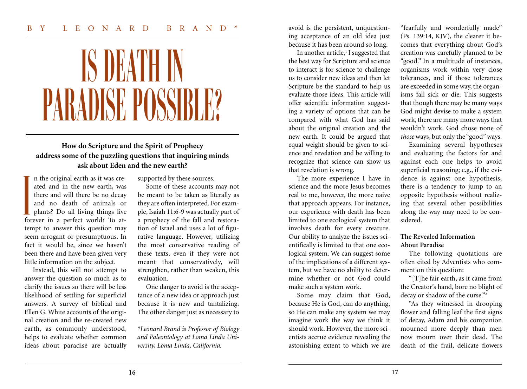# BY LEONARD BRAND\*

# IS DEATH IN PARADISE POSSIBLE?

**How do Scripture and the Spirit of Prophecy address some of the puzzling questions that inquiring minds ask about Eden and the new earth?**

n the original earth as it was created and in the new earth, was there and will there be no decay and no death of animals or plants? Do all living things live forever in a perfect world? To attempt to answer this question may seem arrogant or presumptuous. In fact it would be, since we haven't been there and have been given very little information on the subject. I

Instead, this will not attempt to answer the question so much as to clarify the issues so there will be less likelihood of settling for superficial answers. A survey of biblical and Ellen G. White accounts of the original creation and the re-created new earth, as commonly understood, helps to evaluate whether common ideas about paradise are actually supported by these sources.

Some of these accounts may not be meant to be taken as literally as they are often interpreted. For example, Isaiah 11:6-9 was actually part of a prophecy of the fall and restoration of Israel and uses a lot of figurative language. However, utilizing the most conservative reading of these texts, even if they were not meant that conservatively, will strengthen, rather than weaken, this evaluation.

One danger to avoid is the acceptance of a new idea or approach just because it is new and tantalizing. The other danger just as necessary to

*\*Leonard Brand is Professor of Biology and Paleontology at Loma Linda University, Loma Linda, California.*

avoid is the persistent, unquestioning acceptance of an old idea just because it has been around so long.

In another article, $\frac{1}{1}$  suggested that the best way for Scripture and science to interact is for science to challenge us to consider new ideas and then let Scripture be the standard to help us evaluate those ideas. This article will offer scientific information suggesting a variety of options that can be compared with what God has said about the original creation and the new earth. It could be argued that equal weight should be given to science and revelation and be willing to recognize that science can show us that revelation is wrong.

The more experience I have in science and the more Jesus becomes real to me, however, the more naive that approach appears. For instance, our experience with death has been limited to one ecological system that involves death for every creature. Our ability to analyze the issues scientifically is limited to that one ecological system. We can suggest some of the implications of a different system, but we have no ability to determine whether or not God could make such a system work.

Some may claim that God, because He is God, can do anything, so He can make any system we may imagine work the way we think it should work. However, the more scientists accrue evidence revealing the astonishing extent to which we are

"fearfully and wonderfully made" (Ps. 139:14, KJV), the clearer it becomes that everything about God's creation was carefully planned to be "good." In a multitude of instances, organisms work within very close tolerances, and if those tolerances are exceeded in some way, the organisms fall sick or die. This suggests that though there may be many ways God might devise to make a system work, there are many more ways that wouldn't work. God chose none of *those* ways, but only the "good" ways.

Examining several hypotheses and evaluating the factors for and against each one helps to avoid superficial reasoning; e.g., if the evidence is against one hypothesis, there is a tendency to jump to an opposite hypothesis without realizing that several other possibilities along the way may need to be considered.

# **The Revealed Information About Paradise**

The following quotations are often cited by Adventists who comment on this question:

"[T]he fair earth, as it came from the Creator's hand, bore no blight of decay or shadow of the curse."<sup>2</sup>

"As they witnessed in drooping flower and falling leaf the first signs of decay, Adam and his companion mourned more deeply than men now mourn over their dead. The death of the frail, delicate flowers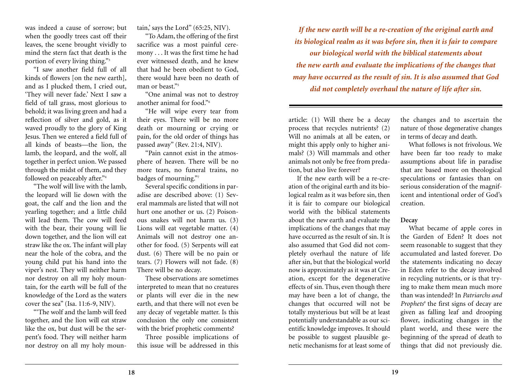was indeed a cause of sorrow; but when the goodly trees cast off their leaves, the scene brought vividly to mind the stern fact that death is the portion of every living thing."3

"I saw another field full of all kinds of flowers [on the new earth], and as I plucked them, I cried out, 'They will never fade.' Next I saw a field of tall grass, most glorious to behold; it was living green and had a reflection of silver and gold, as it waved proudly to the glory of King Jesus. Then we entered a field full of all kinds of beasts—the lion, the lamb, the leopard, and the wolf, all together in perfect union. We passed through the midst of them, and they followed on peaceably after."4

"The wolf will live with the lamb, the leopard will lie down with the goat, the calf and the lion and the yearling together; and a little child will lead them. The cow will feed with the bear, their young will lie down together, and the lion will eat straw like the ox. The infant will play near the hole of the cobra, and the young child put his hand into the viper's nest. They will neither harm nor destroy on all my holy mountain, for the earth will be full of the knowledge of the Lord as the waters cover the sea" (Isa. 11:6-9, NIV).

"'The wolf and the lamb will feed together, and the lion will eat straw like the ox, but dust will be the serpent's food. They will neither harm nor destroy on all my holy mountain,' says the Lord" (65:25, NIV).

"To Adam, the offering of the first sacrifice was a most painful ceremony . . . It was the first time he had ever witnessed death, and he knew that had he been obedient to God, there would have been no death of man or beast<sup>"5</sup>

"One animal was not to destroy another animal for food." $6$ 

"He will wipe every tear from their eyes. There will be no more death or mourning or crying or pain, for the old order of things has passed away" (Rev. 21:4, NIV).

"Pain cannot exist in the atmosphere of heaven. There will be no more tears, no funeral trains, no badges of mourning."7

Several specific conditions in paradise are described above: (1) Several mammals are listed that will not hurt one another or us. (2) Poisonous snakes will not harm us. (3) Lions will eat vegetable matter. (4) Animals will not destroy one another for food. (5) Serpents will eat dust. (6) There will be no pain or tears. (7) Flowers will not fade. (8) There will be no decay.

These observations are sometimes interpreted to mean that no creatures or plants will ever die in the new earth, and that there will not even be any decay of vegetable matter. Is this conclusion the only one consistent with the brief prophetic comments?

Three possible implications of this issue will be addressed in this

*If the new earth will be a re-creation of the original earth and its biological realm as it was before sin, then it is fair to compare our biological world with the biblical statements about the new earth and evaluate the implications of the changes that may have occurred as the result of sin. It is also assumed that God did not completely overhaul the nature of life after sin.*

article: (1) Will there be a decay process that recycles nutrients? (2) Will no animals at all be eaten, or might this apply only to higher animals? (3) Will mammals and other animals not only be free from predation, but also live forever?

If the new earth will be a re-creation of the original earth and its biological realm as it was before sin, then it is fair to compare our biological world with the biblical statements about the new earth and evaluate the implications of the changes that may have occurred as the result of sin. It is also assumed that God did not completely overhaul the nature of life after sin, but that the biological world now is approximately as it was at Creation, except for the degenerative effects of sin. Thus, even though there may have been a lot of change, the changes that occurred will not be totally mysterious but will be at least potentially understandable as our scientific knowledge improves. It should be possible to suggest plausible genetic mechanisms for at least some of the changes and to ascertain the nature of those degenerative changes in terms of decay and death.

What follows is not frivolous. We have been far too ready to make assumptions about life in paradise that are based more on theological speculations or fantasies than on serious consideration of the magnificent and intentional order of God's creation.

### **Decay**

What became of apple cores in the Garden of Eden? It does not seem reasonable to suggest that they accumulated and lasted forever. Do the statements indicating no decay in Eden refer to the decay involved in recycling nutrients, or is that trying to make them mean much more than was intended? In *Patriarchs and Prophets<sup>8</sup>* the first signs of decay are given as falling leaf and drooping flower, indicating changes in the plant world, and these were the beginning of the spread of death to things that did not previously die.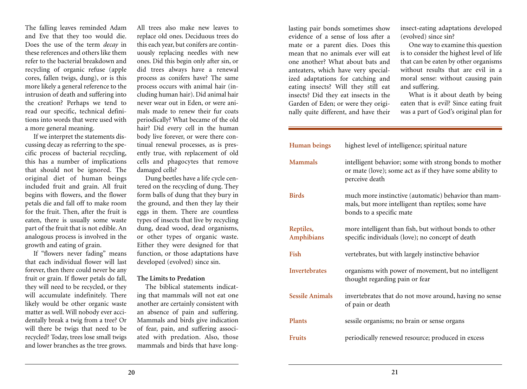The falling leaves reminded Adam and Eve that they too would die. Does the use of the term *decay* in these references and others like them refer to the bacterial breakdown and recycling of organic refuse (apple cores, fallen twigs, dung), or is this more likely a general reference to the intrusion of death and suffering into the creation? Perhaps we tend to read our specific, technical definitions into words that were used with a more general meaning.

If we interpret the statements discussing decay as referring to the specific process of bacterial recycling, this has a number of implications that should not be ignored. The original diet of human beings included fruit and grain. All fruit begins with flowers, and the flower petals die and fall off to make room for the fruit. Then, after the fruit is eaten, there is usually some waste part of the fruit that is not edible. An analogous process is involved in the growth and eating of grain.

If "flowers never fading" means that each individual flower will last forever, then there could never be any fruit or grain. If flower petals do fall, they will need to be recycled, or they will accumulate indefinitely. There likely would be other organic waste matter as well. Will nobody ever accidentally break a twig from a tree? Or will there be twigs that need to be recycled? Today, trees lose small twigs and lower branches as the tree grows.

All trees also make new leaves to replace old ones. Deciduous trees do this each year, but conifers are continuously replacing needles with new ones. Did this begin only after sin, or did trees always have a renewal process as conifers have? The same process occurs with animal hair (including human hair). Did animal hair never wear out in Eden, or were animals made to renew their fur coats periodically? What became of the old hair? Did every cell in the human body live forever, or were there continual renewal processes, as is presently true, with replacement of old cells and phagocytes that remove damaged cells?

Dung beetles have a life cycle centered on the recycling of dung. They form balls of dung that they bury in the ground, and then they lay their eggs in them. There are countless types of insects that live by recycling dung, dead wood, dead organisms, or other types of organic waste. Either they were designed for that function, or those adaptations have developed (evolved) since sin.

### **The Limits to Predation**

The biblical statements indicating that mammals will not eat one another are certainly consistent with an absence of pain and suffering. Mammals and birds give indication of fear, pain, and suffering associated with predation. Also, those mammals and birds that have longlasting pair bonds sometimes show evidence of a sense of loss after a mate or a parent dies. Does this mean that no animals ever will eat one another? What about bats and anteaters, which have very specialized adaptations for catching and eating insects? Will they still eat insects? Did they eat insects in the Garden of Eden; or were they originally quite different, and have their

insect-eating adaptations developed (evolved) since sin?

One way to examine this question is to consider the highest level of life that can be eaten by other organisms without results that are evil in a moral sense: without causing pain and suffering.

What is it about death by being eaten that is evil? Since eating fruit was a part of God's original plan for

| Human beings                   | highest level of intelligence; spiritual nature                                                                                         |
|--------------------------------|-----------------------------------------------------------------------------------------------------------------------------------------|
| <b>Mammals</b>                 | intelligent behavior; some with strong bonds to mother<br>or mate (love); some act as if they have some ability to<br>perceive death    |
| <b>Birds</b>                   | much more instinctive (automatic) behavior than mam-<br>mals, but more intelligent than reptiles; some have<br>bonds to a specific mate |
| Reptiles,<br><b>Amphibians</b> | more intelligent than fish, but without bonds to other<br>specific individuals (love); no concept of death                              |
| Fish                           | vertebrates, but with largely instinctive behavior                                                                                      |
| <b>Invertebrates</b>           | organisms with power of movement, but no intelligent<br>thought regarding pain or fear                                                  |
| <b>Sessile Animals</b>         | invertebrates that do not move around, having no sense<br>of pain or death                                                              |
| <b>Plants</b>                  | sessile organisms; no brain or sense organs                                                                                             |
| <b>Fruits</b>                  | periodically renewed resource; produced in excess                                                                                       |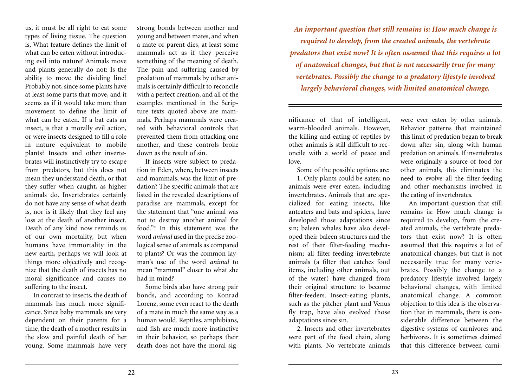us, it must be all right to eat some types of living tissue. The question is, What feature defines the limit of what can be eaten without introducing evil into nature? Animals move and plants generally do not: Is the ability to move the dividing line? Probably not, since some plants have at least some parts that move, and it seems as if it would take more than movement to define the limit of what can be eaten. If a bat eats an insect, is that a morally evil action, or were insects designed to fill a role in nature equivalent to mobile plants? Insects and other invertebrates will instinctively try to escape from predators, but this does not mean they understand death, or that they suffer when caught, as higher animals do. Invertebrates certainly do not have any sense of what death is, nor is it likely that they feel any loss at the death of another insect. Death of any kind now reminds us of our own mortality, but when humans have immortality in the new earth, perhaps we will look at things more objectively and recognize that the death of insects has no moral significance and causes no suffering to the insect.

In contrast to insects, the death of mammals has much more significance. Since baby mammals are very dependent on their parents for a time, the death of a mother results in the slow and painful death of her young. Some mammals have very

strong bonds between mother and young and between mates, and when a mate or parent dies, at least some mammals act as if they perceive something of the meaning of death. The pain and suffering caused by predation of mammals by other animals is certainly difficult to reconcile with a perfect creation, and all of the examples mentioned in the Scripture texts quoted above are mammals. Perhaps mammals were created with behavioral controls that prevented them from attacking one another, and these controls broke down as the result of sin.

If insects were subject to predation in Eden, where, between insects and mammals, was the limit of predation? The specific animals that are listed in the revealed descriptions of paradise are mammals, except for the statement that "one animal was not to destroy another animal for food<sup>"9</sup> In this statement was the word *animal* used in the precise zoological sense of animals as compared to plants? Or was the common layman's use of the word *animal* to mean "mammal" closer to what she had in mind?

Some birds also have strong pair bonds, and according to Konrad Lorenz, some even react to the death of a mate in much the same way as a human would. Reptiles, amphibians, and fish are much more instinctive in their behavior, so perhaps their death does not have the moral sig-

*An important question that still remains is: How much change is required to develop, from the created animals, the vertebrate predators that exist now? It is often assumed that this requires a lot of anatomical changes, but that is not necessarily true for many vertebrates. Possibly the change to a predatory lifestyle involved largely behavioral changes, with limited anatomical change.*

nificance of that of intelligent, warm-blooded animals. However, the killing and eating of reptiles by other animals is still difficult to reconcile with a world of peace and love.

Some of the possible options are:

**1.** Only plants could be eaten; no animals were ever eaten, including invertebrates. Animals that are specialized for eating insects, like anteaters and bats and spiders, have developed those adaptations since sin; baleen whales have also developed their baleen structures and the rest of their filter-feeding mechanism; all filter-feeding invertebrate animals (a filter that catches food items, including other animals, out of the water) have changed from their original structure to become filter-feeders. Insect-eating plants, such as the pitcher plant and Venus fly trap, have also evolved those adaptations since sin.

**2.** Insects and other invertebrates were part of the food chain, along with plants. No vertebrate animals

were ever eaten by other animals. Behavior patterns that maintained this limit of predation began to break down after sin, along with human predation on animals. If invertebrates were originally a source of food for other animals, this eliminates the need to evolve all the filter-feeding and other mechanisms involved in the eating of invertebrates.

An important question that still remains is: How much change is required to develop, from the created animals, the vertebrate predators that exist now? It is often assumed that this requires a lot of anatomical changes, but that is not necessarily true for many vertebrates. Possibly the change to a predatory lifestyle involved largely behavioral changes, with limited anatomical change. A common objection to this idea is the observation that in mammals, there is considerable difference between the digestive systems of carnivores and herbivores. It is sometimes claimed that this difference between carni-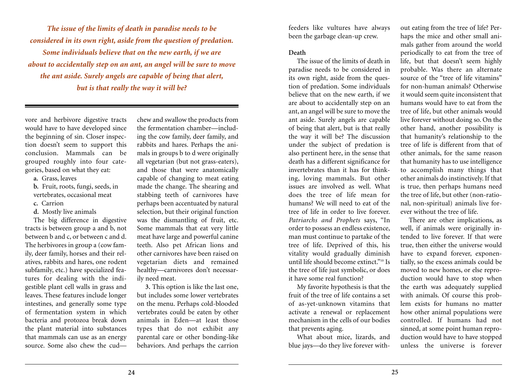*The issue of the limits of death in paradise needs to be considered in its own right, aside from the question of predation. Some individuals believe that on the new earth, if we are about to accidentally step on an ant, an angel will be sure to move the ant aside. Surely angels are capable of being that alert, but is that really the way it will be?*

vore and herbivore digestive tracts would have to have developed since the beginning of sin. Closer inspection doesn't seem to support this conclusion. Mammals can be grouped roughly into four categories, based on what they eat:

- **a.** Grass, leaves
- **b.** Fruit, roots, fungi, seeds, in
- vertebrates, occasional meat
- **c.** Carrion
- **d.** Mostly live animals

The big difference in digestive tracts is between group a and b, not between b and c, or between c and d. The herbivores in group a (cow family, deer family, horses and their relatives, rabbits and hares, one rodent subfamily, etc.) have specialized features for dealing with the indigestible plant cell walls in grass and leaves. These features include longer intestines, and generally some type of fermentation system in which bacteria and protozoa break down the plant material into substances that mammals can use as an energy source. Some also chew the cudchew and swallow the products from the fermentation chamber—including the cow family, deer family, and rabbits and hares. Perhaps the animals in groups b to d were originally all vegetarian (but not grass-eaters), and those that were anatomically capable of changing to meat eating made the change. The shearing and stabbing teeth of carnivores have perhaps been accentuated by natural selection, but their original function was the dismantling of fruit, etc. Some mammals that eat very little meat have large and powerful canine teeth. Also pet African lions and other carnivores have been raised on vegetarian diets and remained healthy—carnivores don't necessarily need meat.

**3.** This option is like the last one, but includes some lower vertebrates on the menu. Perhaps cold-blooded vertebrates could be eaten by other animals in Eden—at least those types that do not exhibit any parental care or other bonding-like behaviors. And perhaps the carrion

feeders like vultures have always been the garbage clean-up crew.

### **Death**

The issue of the limits of death in paradise needs to be considered in its own right, aside from the question of predation. Some individuals believe that on the new earth, if we are about to accidentally step on an ant, an angel will be sure to move the ant aside. Surely angels are capable of being that alert, but is that really the way it will be? The discussion under the subject of predation is also pertinent here, in the sense that death has a different significance for invertebrates than it has for thinking, loving mammals. But other issues are involved as well. What does the tree of life mean for humans? We will need to eat of the tree of life in order to live forever. *Patriarchs and Prophets* says, "In order to possess an endless existence, man must continue to partake of the tree of life. Deprived of this, his vitality would gradually diminish until life should become extinct."10 Is the tree of life just symbolic, or does it have some real function?

My favorite hypothesis is that the fruit of the tree of life contains a set of as-yet-unknown vitamins that activate a renewal or replacement mechanism in the cells of our bodies that prevents aging.

What about mice, lizards, and blue jays—do they live forever with-

out eating from the tree of life? Perhaps the mice and other small animals gather from around the world periodically to eat from the tree of life, but that doesn't seem highly probable. Was there an alternate source of the "tree of life vitamins" for non-human animals? Otherwise it would seem quite inconsistent that humans would have to eat from the tree of life, but other animals would live forever without doing so. On the other hand, another possibility is that humanity's relationship to the tree of life is different from that of other animals, for the same reason that humanity has to use intelligence to accomplish many things that other animals do instinctively. If that is true, then perhaps humans need the tree of life, but other (non-rational, non-spiritual) animals live forever without the tree of life.

There are other implications, as well, if animals were originally intended to live forever. If that were true, then either the universe would have to expand forever, exponentially, so the excess animals could be moved to new homes, or else reproduction would have to stop when the earth was adequately supplied with animals. Of course this problem exists for humans no matter how other animal populations were controlled. If humans had not sinned, at some point human reproduction would have to have stopped unless the universe is forever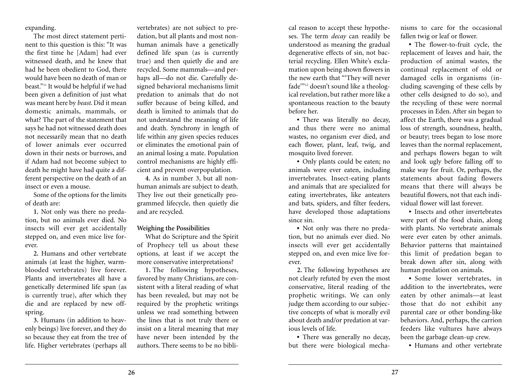# expanding.

The most direct statement pertinent to this question is this: "It was the first time he [Adam] had ever witnessed death, and he knew that had he been obedient to God, there would have been no death of man or beast."11 It would be helpful if we had been given a definition of just what was meant here by *beast*. Did it mean domestic animals, mammals, or what? The part of the statement that says he had not witnessed death does not necessarily mean that no death of lower animals ever occurred down in their nests or burrows, and if Adam had not become subject to death he might have had quite a different perspective on the death of an insect or even a mouse.

Some of the options for the limits of death are:

**1.** Not only was there no predation, but no animals ever died. No insects will ever get accidentally stepped on, and even mice live forever.

**2.** Humans and other vertebrate animals (at least the higher, warmblooded vertebrates) live forever. Plants and invertebrates all have a genetically determined life span (as is currently true), after which they die and are replaced by new offspring.

**3.** Humans (in addition to heavenly beings) live forever, and they do so because they eat from the tree of life. Higher vertebrates (perhaps all

vertebrates) are not subject to predation, but all plants and most nonhuman animals have a genetically defined life span (as is currently true) and then quietly die and are recycled. Some mammals—and perhaps all—do not die. Carefully designed behavioral mechanisms limit predation to animals that do not suffer because of being killed, and death is limited to animals that do not understand the meaning of life and death. Synchrony in length of life within any given species reduces or eliminates the emotional pain of an animal losing a mate. Population control mechanisms are highly efficient and prevent overpopulation.

**4.** As in number 3, but all nonhuman animals are subject to death. They live out their genetically programmed lifecycle, then quietly die and are recycled.

### **Weighing the Possibilities**

What do Scripture and the Spirit of Prophecy tell us about these options, at least if we accept the more conservative interpretations?

**1.** The following hypotheses, favored by many Christians, are consistent with a literal reading of what has been revealed, but may not be required by the prophetic writings unless we read something between the lines that is not truly there or insist on a literal meaning that may have never been intended by the authors. There seems to be no bibli-

cal reason to accept these hypotheses. The term *decay* can readily be understood as meaning the gradual degenerative effects of sin, not bacterial recycling. Ellen White's exclamation upon being shown flowers in the new earth that "'They will never fade'"12 doesn't sound like a theological revelation, but rather more like a spontaneous reaction to the beauty before her.

**•** There was literally no decay, and thus there were no animal wastes, no organism ever died, and each flower, plant, leaf, twig, and mosquito lived forever.

**•** Only plants could be eaten; no animals were ever eaten, including invertebrates. Insect-eating plants and animals that are specialized for eating invertebrates, like anteaters and bats, spiders, and filter feeders, have developed those adaptations since sin.

**•** Not only was there no predation, but no animals ever died. No insects will ever get accidentally stepped on, and even mice live forever.

**2.** The following hypotheses are not clearly refuted by even the most conservative, literal reading of the prophetic writings. We can only judge them according to our subjective concepts of what is morally evil about death and/or predation at various levels of life.

**•** There was generally no decay, but there were biological mechanisms to care for the occasional fallen twig or leaf or flower.

**•** The flower-to-fruit cycle, the replacement of leaves and hair, the production of animal wastes, the continual replacement of old or damaged cells in organisms (including scavenging of these cells by other cells designed to do so), and the recycling of these were normal processes in Eden. After sin began to affect the Earth, there was a gradual loss of strength, soundness, health, or beauty; trees began to lose more leaves than the normal replacement, and perhaps flowers began to wilt and look ugly before falling off to make way for fruit. Or, perhaps, the statements about fading flowers means that there will always be beautiful flowers, not that each individual flower will last forever.

**•** Insects and other invertebrates were part of the food chain, along with plants. No vertebrate animals were ever eaten by other animals. Behavior patterns that maintained this limit of predation began to break down after sin, along with human predation on animals.

**•** Some lower vertebrates, in addition to the invertebrates, were eaten by other animals—at least those that do not exhibit any parental care or other bonding-like behaviors. And, perhaps, the carrion feeders like vultures have always been the garbage clean-up crew.

**•** Humans and other vertebrate